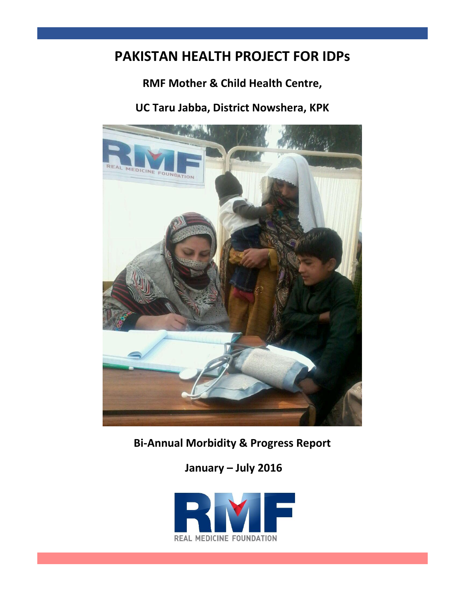# **PAKISTAN HEALTH PROJECT FOR IDPs**

## **RMF Mother & Child Health Centre,**

## **UC Taru Jabba, District Nowshera, KPK**



**Bi-Annual Morbidity & Progress Report** 

**January – July 2016**

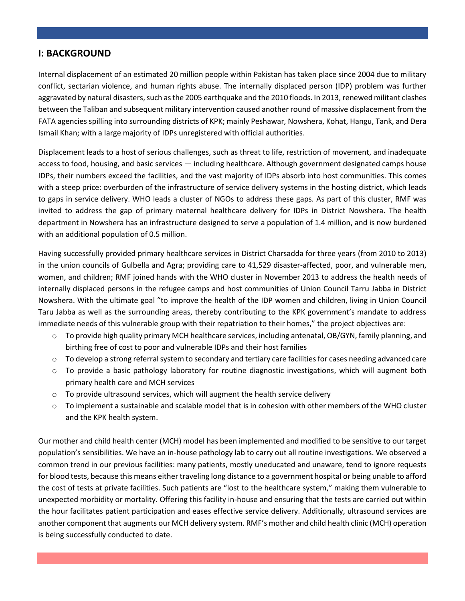### **I: BACKGROUND**

Internal displacement of an estimated 20 million people within Pakistan has taken place since 2004 due to military conflict, sectarian violence, and human rights abuse. The internally displaced person (IDP) problem was further aggravated by natural disasters, such as the 2005 earthquake and the 2010 floods. In 2013, renewed militant clashes between the Taliban and subsequent military intervention caused another round of massive displacement from the FATA agencies spilling into surrounding districts of KPK; mainly Peshawar, Nowshera, Kohat, Hangu, Tank, and Dera Ismail Khan; with a large majority of IDPs unregistered with official authorities.

Displacement leads to a host of serious challenges, such as threat to life, restriction of movement, and inadequate access to food, housing, and basic services — including healthcare. Although government designated camps house IDPs, their numbers exceed the facilities, and the vast majority of IDPs absorb into host communities. This comes with a steep price: overburden of the infrastructure of service delivery systems in the hosting district, which leads to gaps in service delivery. WHO leads a cluster of NGOs to address these gaps. As part of this cluster, RMF was invited to address the gap of primary maternal healthcare delivery for IDPs in District Nowshera. The health department in Nowshera has an infrastructure designed to serve a population of 1.4 million, and is now burdened with an additional population of 0.5 million.

Having successfully provided primary healthcare services in District Charsadda for three years (from 2010 to 2013) in the union councils of Gulbella and Agra; providing care to 41,529 disaster-affected, poor, and vulnerable men, women, and children; RMF joined hands with the WHO cluster in November 2013 to address the health needs of internally displaced persons in the refugee camps and host communities of Union Council Tarru Jabba in District Nowshera. With the ultimate goal "to improve the health of the IDP women and children, living in Union Council Taru Jabba as well as the surrounding areas, thereby contributing to the KPK government's mandate to address immediate needs of this vulnerable group with their repatriation to their homes," the project objectives are:

- o To provide high quality primary MCH healthcare services, including antenatal, OB/GYN, family planning, and birthing free of cost to poor and vulnerable IDPs and their host families
- $\circ$  To develop a strong referral system to secondary and tertiary care facilities for cases needing advanced care
- o To provide a basic pathology laboratory for routine diagnostic investigations, which will augment both primary health care and MCH services
- $\circ$  To provide ultrasound services, which will augment the health service delivery
- $\circ$  To implement a sustainable and scalable model that is in cohesion with other members of the WHO cluster and the KPK health system.

Our mother and child health center (MCH) model has been implemented and modified to be sensitive to our target population's sensibilities. We have an in-house pathology lab to carry out all routine investigations. We observed a common trend in our previous facilities: many patients, mostly uneducated and unaware, tend to ignore requests for blood tests, because this means either traveling long distance to a government hospital or being unable to afford the cost of tests at private facilities. Such patients are "lost to the healthcare system," making them vulnerable to unexpected morbidity or mortality. Offering this facility in-house and ensuring that the tests are carried out within the hour facilitates patient participation and eases effective service delivery. Additionally, ultrasound services are another component that augments our MCH delivery system. RMF's mother and child health clinic (MCH) operation is being successfully conducted to date.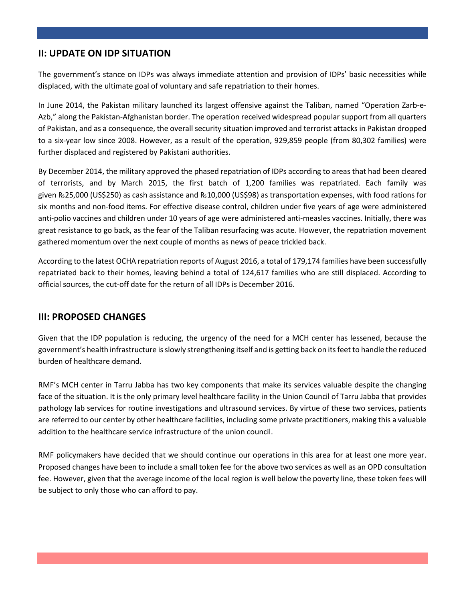## **II: UPDATE ON IDP SITUATION**

The government's stance on IDPs was always immediate attention and provision of IDPs' basic necessities while displaced, with the ultimate goal of voluntary and safe repatriation to their homes.

In June 2014, the Pakistan military launched its largest offensive against the Taliban, named "Operation Zarb-e-Azb," along the Pakistan-Afghanistan border. The operation received widespread popular support from all quarters of Pakistan, and as a consequence, the overall security situation improved and terrorist attacks in Pakistan dropped to a six-year low since 2008. However, as a result of the operation, 929,859 people (from 80,302 families) were further displaced and registered by Pakistani authorities.

By December 2014, the military approved the phased repatriation of IDPs according to areas that had been cleared of terrorists, and by March 2015, the first batch of 1,200 families was repatriated. Each family was given ₨25,000 (US\$250) as cash assistance and ₨10,000 (US\$98) as transportation expenses, with food rations for six months and non-food items. For effective disease control, children under five years of age were administered anti-polio vaccines and children under 10 years of age were administered anti-measles vaccines. Initially, there was great resistance to go back, as the fear of the Taliban resurfacing was acute. However, the repatriation movement gathered momentum over the next couple of months as news of peace trickled back.

According to the latest OCHA repatriation reports of August 2016, a total of 179,174 families have been successfully repatriated back to their homes, leaving behind a total of 124,617 families who are still displaced. According to official sources, the cut-off date for the return of all IDPs is December 2016.

### **III: PROPOSED CHANGES**

Given that the IDP population is reducing, the urgency of the need for a MCH center has lessened, because the government's health infrastructure is slowly strengthening itself and is getting back on its feet to handle the reduced burden of healthcare demand.

RMF's MCH center in Tarru Jabba has two key components that make its services valuable despite the changing face of the situation. It is the only primary level healthcare facility in the Union Council of Tarru Jabba that provides pathology lab services for routine investigations and ultrasound services. By virtue of these two services, patients are referred to our center by other healthcare facilities, including some private practitioners, making this a valuable addition to the healthcare service infrastructure of the union council.

RMF policymakers have decided that we should continue our operations in this area for at least one more year. Proposed changes have been to include a small token fee for the above two services as well as an OPD consultation fee. However, given that the average income of the local region is well below the poverty line, these token fees will be subject to only those who can afford to pay.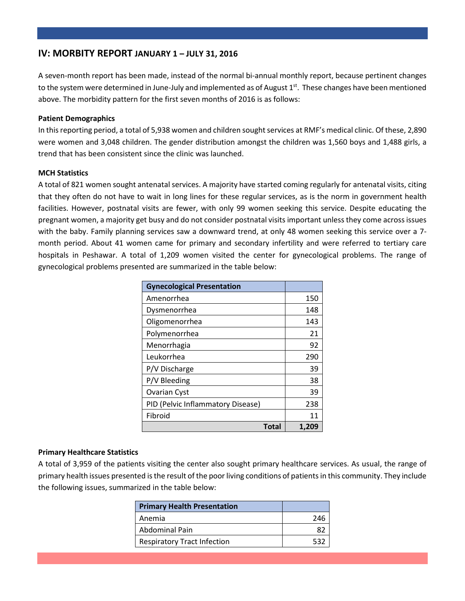#### **IV: MORBITY REPORT JANUARY 1 – JULY 31, 2016**

A seven-month report has been made, instead of the normal bi-annual monthly report, because pertinent changes to the system were determined in June-July and implemented as of August 1st. These changes have been mentioned above. The morbidity pattern for the first seven months of 2016 is as follows:

#### **Patient Demographics**

In this reporting period, a total of 5,938 women and children sought services at RMF's medical clinic. Of these, 2,890 were women and 3,048 children. The gender distribution amongst the children was 1,560 boys and 1,488 girls, a trend that has been consistent since the clinic was launched.

#### **MCH Statistics**

A total of 821 women sought antenatal services. A majority have started coming regularly for antenatal visits, citing that they often do not have to wait in long lines for these regular services, as is the norm in government health facilities. However, postnatal visits are fewer, with only 99 women seeking this service. Despite educating the pregnant women, a majority get busy and do not consider postnatal visits important unless they come across issues with the baby. Family planning services saw a downward trend, at only 48 women seeking this service over a 7 month period. About 41 women came for primary and secondary infertility and were referred to tertiary care hospitals in Peshawar. A total of 1,209 women visited the center for gynecological problems. The range of gynecological problems presented are summarized in the table below:

| <b>Gynecological Presentation</b> |       |
|-----------------------------------|-------|
| Amenorrhea                        | 150   |
| Dysmenorrhea                      | 148   |
| Oligomenorrhea                    | 143   |
| Polymenorrhea                     | 21    |
| Menorrhagia                       | 92    |
| Leukorrhea                        | 290   |
| P/V Discharge                     | 39    |
| P/V Bleeding                      | 38    |
| <b>Ovarian Cyst</b>               | 39    |
| PID (Pelvic Inflammatory Disease) | 238   |
| Fibroid                           | 11    |
| <b>Total</b>                      | 1.209 |

#### **Primary Healthcare Statistics**

A total of 3,959 of the patients visiting the center also sought primary healthcare services. As usual, the range of primary health issues presented is the result of the poor living conditions of patients in this community. They include the following issues, summarized in the table below:

| <b>Primary Health Presentation</b> |     |
|------------------------------------|-----|
| Anemia                             | 246 |
| Abdominal Pain                     |     |
| <b>Respiratory Tract Infection</b> | 532 |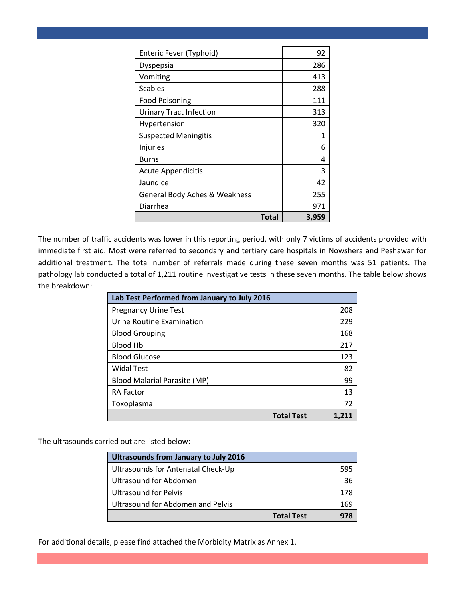| Enteric Fever (Typhoid)                  | 92    |
|------------------------------------------|-------|
| Dyspepsia                                | 286   |
| Vomiting                                 | 413   |
| <b>Scabies</b>                           | 288   |
| <b>Food Poisoning</b>                    | 111   |
| <b>Urinary Tract Infection</b>           | 313   |
| Hypertension                             | 320   |
| <b>Suspected Meningitis</b>              | 1     |
| Injuries                                 | 6     |
| Burns                                    | 4     |
| <b>Acute Appendicitis</b>                | 3     |
| Jaundice                                 | 42    |
| <b>General Body Aches &amp; Weakness</b> | 255   |
| Diarrhea                                 | 971   |
| Total                                    | 3,959 |

The number of traffic accidents was lower in this reporting period, with only 7 victims of accidents provided with immediate first aid. Most were referred to secondary and tertiary care hospitals in Nowshera and Peshawar for additional treatment. The total number of referrals made during these seven months was 51 patients. The pathology lab conducted a total of 1,211 routine investigative tests in these seven months. The table below shows the breakdown:

| Lab Test Performed from January to July 2016 |       |
|----------------------------------------------|-------|
| <b>Pregnancy Urine Test</b>                  | 208   |
| Urine Routine Examination                    | 229   |
| <b>Blood Grouping</b>                        | 168   |
| <b>Blood Hb</b>                              | 217   |
| <b>Blood Glucose</b>                         | 123   |
| <b>Widal Test</b>                            | 82    |
| <b>Blood Malarial Parasite (MP)</b>          | 99    |
| <b>RA Factor</b>                             | 13    |
| Toxoplasma                                   | 72    |
| <b>Total Test</b>                            | 1.211 |

The ultrasounds carried out are listed below:

| Ultrasounds from January to July 2016    |     |
|------------------------------------------|-----|
| Ultrasounds for Antenatal Check-Up       | 595 |
| Ultrasound for Abdomen                   | 36  |
| <b>Ultrasound for Pelvis</b>             |     |
| <b>Ultrasound for Abdomen and Pelvis</b> | 164 |
| <b>Total Test</b>                        |     |

For additional details, please find attached the Morbidity Matrix as Annex 1.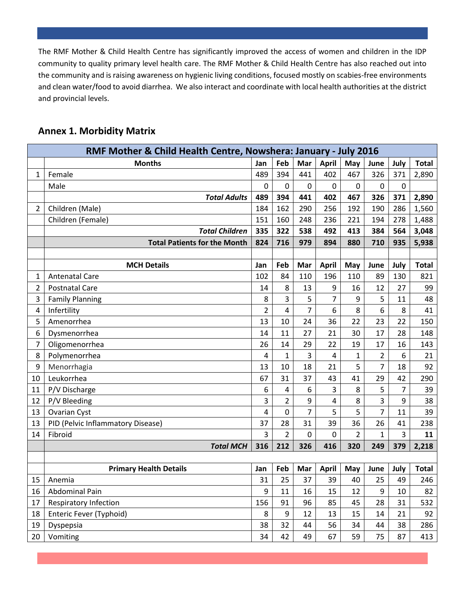The RMF Mother & Child Health Centre has significantly improved the access of women and children in the IDP community to quality primary level health care. The RMF Mother & Child Health Centre has also reached out into the community and is raising awareness on hygienic living conditions, focused mostly on scabies-free environments and clean water/food to avoid diarrhea. We also interact and coordinate with local health authorities at the district and provincial levels.

| <b>Annex 1. Morbidity Matrix</b> |  |  |  |
|----------------------------------|--|--|--|
|----------------------------------|--|--|--|

|                | RMF Mother & Child Health Centre, Nowshera: January - July 2016 |                |                |                |              |                |                |                |              |
|----------------|-----------------------------------------------------------------|----------------|----------------|----------------|--------------|----------------|----------------|----------------|--------------|
|                | <b>Months</b>                                                   | Jan            | Feb            | Mar            | <b>April</b> | May            | June           | July           | <b>Total</b> |
| 1              | Female                                                          | 489            | 394            | 441            | 402          | 467            | 326            | 371            | 2,890        |
|                | Male                                                            | 0              | 0              | 0              | $\Omega$     | $\mathbf 0$    | 0              | 0              |              |
|                | <b>Total Adults</b>                                             | 489            | 394            | 441            | 402          | 467            | 326            | 371            | 2,890        |
| $\overline{2}$ | Children (Male)                                                 | 184            | 162            | 290            | 256          | 192            | 190            | 286            | 1,560        |
|                | Children (Female)                                               | 151            | 160            | 248            | 236          | 221            | 194            | 278            | 1,488        |
|                | <b>Total Children</b>                                           | 335            | 322            | 538            | 492          | 413            | 384            | 564            | 3,048        |
|                | <b>Total Patients for the Month</b>                             | 824            | 716            | 979            | 894          | 880            | 710            | 935            | 5,938        |
|                |                                                                 |                |                |                |              |                |                |                |              |
|                | <b>MCH Details</b>                                              | Jan            | Feb            | Mar            | <b>April</b> | May            | June           | July           | <b>Total</b> |
| 1              | <b>Antenatal Care</b>                                           | 102            | 84             | 110            | 196          | 110            | 89             | 130            | 821          |
| $\overline{2}$ | <b>Postnatal Care</b>                                           | 14             | 8              | 13             | 9            | 16             | 12             | 27             | 99           |
| 3              | <b>Family Planning</b>                                          | 8              | 3              | 5              | 7            | 9              | 5              | 11             | 48           |
| 4              | Infertility                                                     | $\overline{2}$ | 4              | $\overline{7}$ | 6            | 8              | 6              | 8              | 41           |
| 5              | Amenorrhea                                                      | 13             | 10             | 24             | 36           | 22             | 23             | 22             | 150          |
| 6              | Dysmenorrhea                                                    | 14             | 11             | 27             | 21           | 30             | 17             | 28             | 148          |
| 7              | Oligomenorrhea                                                  | 26             | 14             | 29             | 22           | 19             | 17             | 16             | 143          |
| 8              | Polymenorrhea                                                   | $\overline{4}$ | $\mathbf 1$    | 3              | 4            | 1              | $\overline{2}$ | 6              | 21           |
| 9              | Menorrhagia                                                     | 13             | 10             | 18             | 21           | 5              | $\overline{7}$ | 18             | 92           |
| 10             | Leukorrhea                                                      | 67             | 31             | 37             | 43           | 41             | 29             | 42             | 290          |
| 11             | P/V Discharge                                                   | 6              | 4              | 6              | 3            | 8              | 5              | $\overline{7}$ | 39           |
| 12             | P/V Bleeding                                                    | 3              | 2              | 9              | 4            | 8              | 3              | 9              | 38           |
| 13             | Ovarian Cyst                                                    | 4              | $\mathbf 0$    | 7              | 5            | 5              | $\overline{7}$ | 11             | 39           |
| 13             | PID (Pelvic Inflammatory Disease)                               | 37             | 28             | 31             | 39           | 36             | 26             | 41             | 238          |
| 14             | Fibroid                                                         | 3              | $\overline{2}$ | 0              | 0            | $\overline{2}$ | $\mathbf{1}$   | 3              | 11           |
|                | <b>Total MCH</b>                                                | 316            | 212            | 326            | 416          | 320            | 249            | 379            | 2,218        |
|                |                                                                 |                |                |                |              |                |                |                |              |
|                | <b>Primary Health Details</b>                                   | Jan            | Feb            | Mar            | <b>April</b> | May            | June           | July           | <b>Total</b> |
| 15             | Anemia                                                          | 31             | 25             | 37             | 39           | 40             | 25             | 49             | 246          |
| 16             | Abdominal Pain                                                  | 9              | 11             | 16             | 15           | 12             | 9              | 10             | 82           |
| 17             | <b>Respiratory Infection</b>                                    | 156            | 91             | 96             | 85           | 45             | 28             | 31             | 532          |
| 18             | Enteric Fever (Typhoid)                                         | 8              | $9\,$          | 12             | 13           | 15             | 14             | 21             | 92           |
| 19             | Dyspepsia                                                       | 38             | 32             | 44             | 56           | 34             | 44             | 38             | 286          |
| 20             | Vomiting                                                        | 34             | 42             | 49             | 67           | 59             | 75             | 87             | 413          |